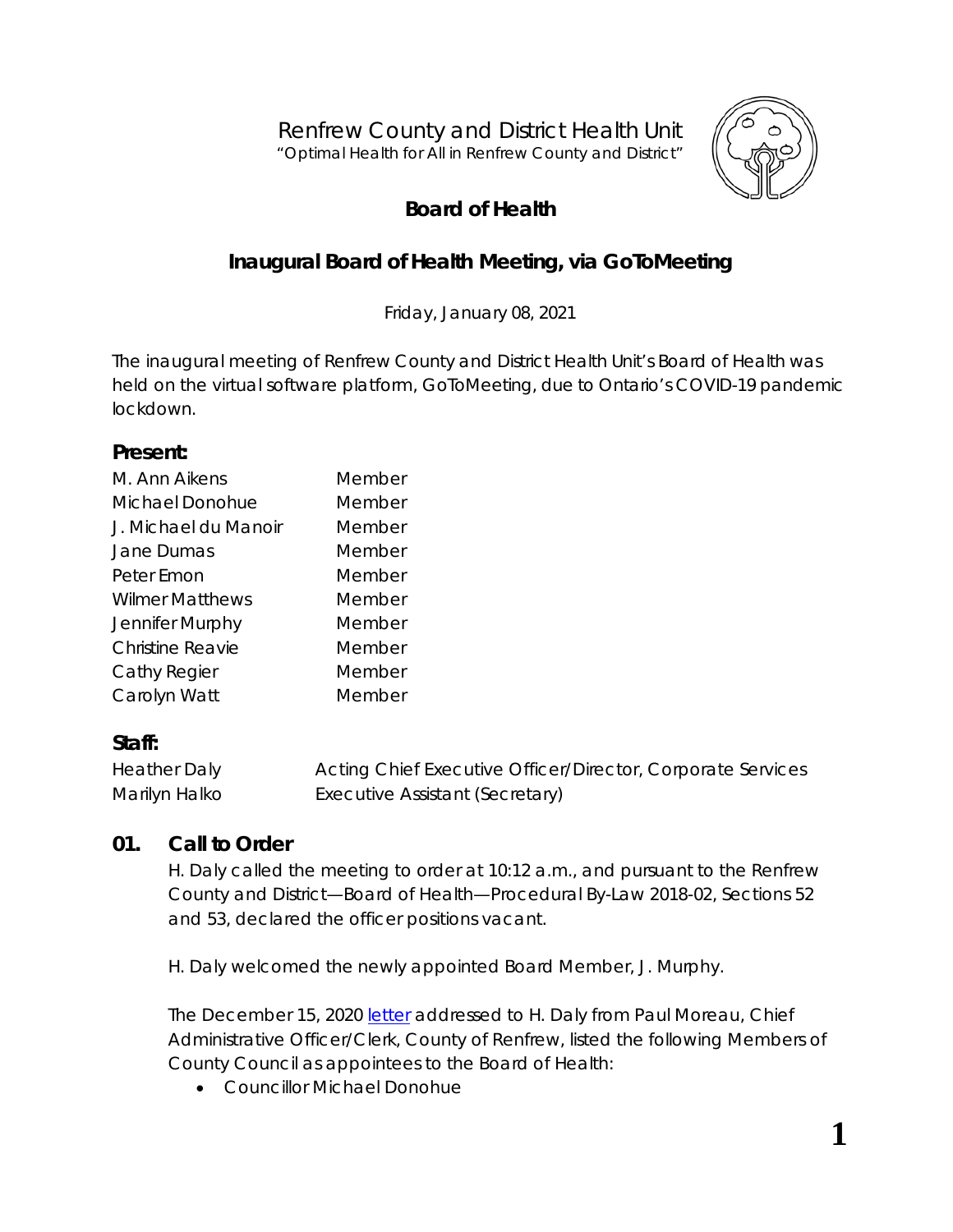Renfrew County and District Health Unit *"Optimal Health for All in Renfrew County and District"*



# **Board of Health**

## **Inaugural Board of Health Meeting, via GoToMeeting**

Friday, January 08, 2021

The inaugural meeting of Renfrew County and District Health Unit's Board of Health was held on the virtual software platform, *GoToMeeting*, due to Ontario's COVID-19 pandemic lockdown.

#### **Present:**

| M Ann Aikens           | Member |
|------------------------|--------|
| Michael Donohue        | Member |
| J. Michael du Manoir   | Member |
| Jane Dumas             | Member |
| Peter Emon             | Member |
| <b>Wilmer Matthews</b> | Member |
| Jennifer Murphy        | Member |
| Christine Reavie       | Member |
| Cathy Regier           | Member |
| Carolyn Watt           | Member |

#### **Staff:**

| <b>Heather Daly</b> | Acting Chief Executive Officer/Director, Corporate Services |
|---------------------|-------------------------------------------------------------|
| Marilyn Halko       | Executive Assistant (Secretary)                             |

#### **01. Call to Order**

H. Daly called the meeting to order at 10:12 a.m., and pursuant to the Renfrew County and District—Board of Health—Procedural By-Law 2018-02, Sections 52 and 53, declared the officer positions vacant.

H. Daly welcomed the newly appointed Board Member, J. Murphy.

The December 15, 2020 [letter](http://portal.rcdhu.com/board/wp-content/uploads/2021/01/Letter-2021-RCDHU-Board-of-Health-and-By-Law-1-21.pdf) addressed to H. Daly from Paul Moreau, Chief Administrative Officer/Clerk, County of Renfrew, listed the following Members of County Council as appointees to the Board of Health:

• Councillor Michael Donohue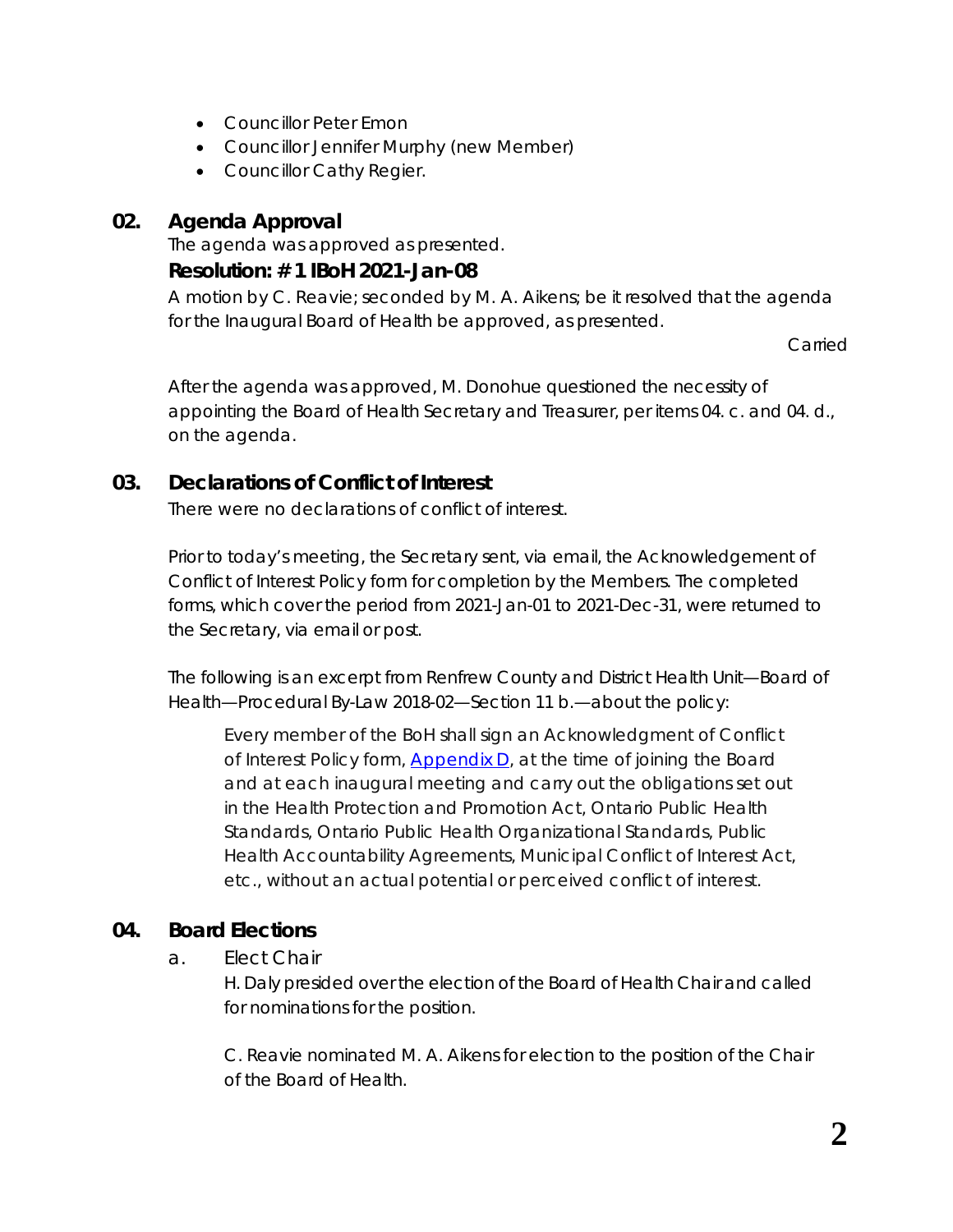- Councillor Peter Emon
- Councillor Jennifer Murphy (new Member)
- Councillor Cathy Regier.

#### **02. Agenda Approval**

The agenda was approved as presented.

#### **Resolution: # 1 IBoH 2021-Jan-08**

A motion by C. Reavie; seconded by M. A. Aikens; be it resolved that the agenda for the Inaugural Board of Health be approved, as presented.

Carried

After the agenda was approved, M. Donohue questioned the necessity of appointing the Board of Health Secretary and Treasurer, per items 04. c. and 04. d., on the agenda.

### **03. Declarations of Conflict of Interest**

There were no declarations of conflict of interest.

Prior to today's meeting, the Secretary sent, via email, the *Acknowledgement of Conflict of Interest Policy* form for completion by the Members. The completed forms, which cover the period from 2021-Jan-01 to 2021-Dec-31, were returned to the Secretary, via email or post.

The following is an excerpt from *Renfrew County and District Health Unit—Board of Health—Procedural By-Law 2018-02—Section 11 b.—*about the policy:

*Every member of the BoH shall sign an Acknowledgment of Conflict of Interest Policy form, [Appendix D,](http://portal.rcdhu.com/board/wp-content/uploads/2021/01/Appendix-D.pdf) at the time of joining the Board and at each inaugural meeting and carry out the obligations set out in the Health Protection and Promotion Act, Ontario Public Health Standards, Ontario Public Health Organizational Standards, Public Health Accountability Agreements, Municipal Conflict of Interest Act, etc., without an actual potential or perceived conflict of interest.*

## **04. Board Elections**

a. Elect Chair

H. Daly presided over the election of the Board of Health Chair and called for nominations for the position.

C. Reavie nominated M. A. Aikens for election to the position of the Chair of the Board of Health.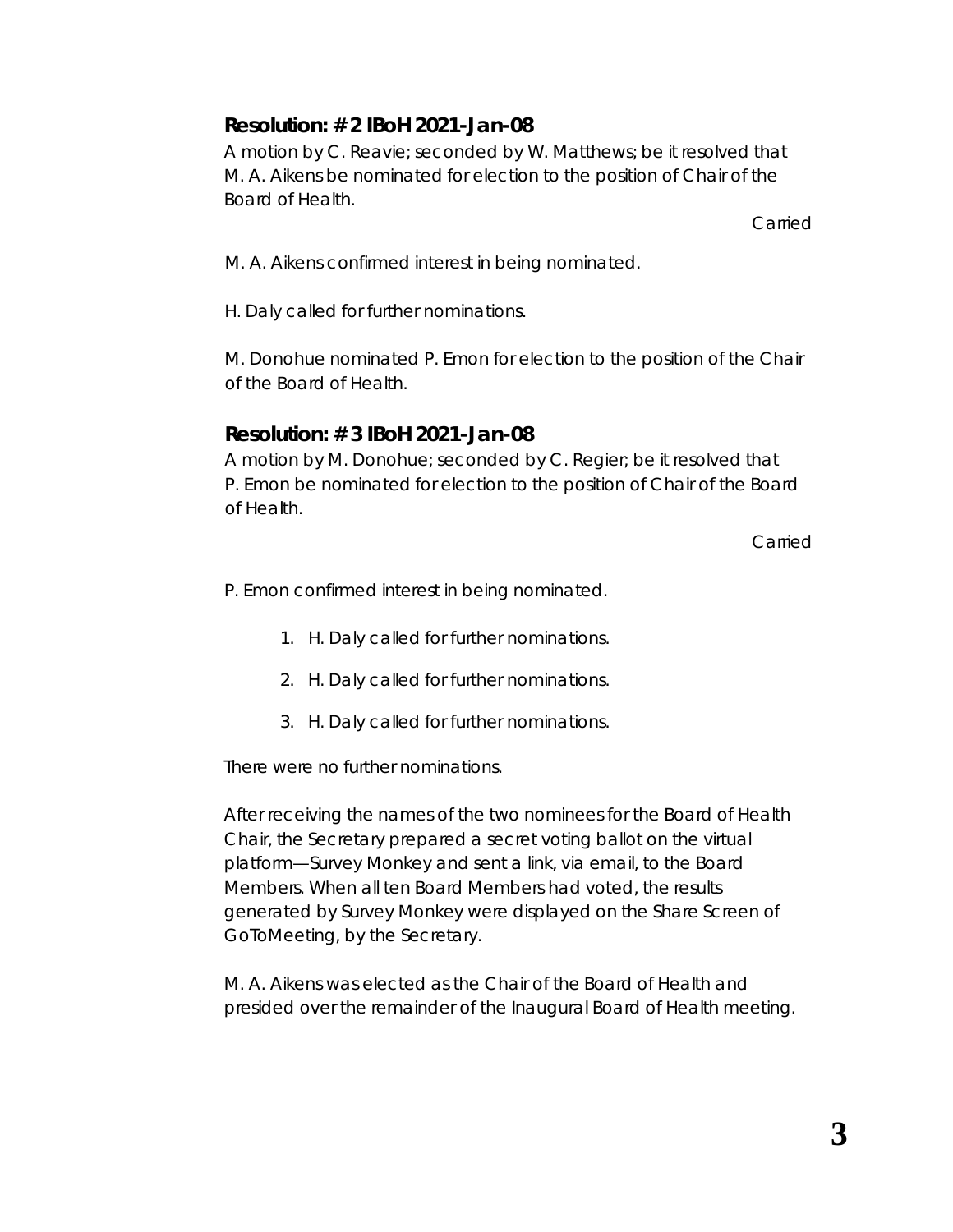## **Resolution: # 2 IBoH 2021-Jan-08**

A motion by C. Reavie; seconded by W. Matthews; be it resolved that M. A. Aikens be nominated for election to the position of Chair of the Board of Health.

Carried

M. A. Aikens confirmed interest in being nominated.

H. Daly called for further nominations.

M. Donohue nominated P. Emon for election to the position of the Chair of the Board of Health.

## **Resolution: # 3 IBoH 2021-Jan-08**

A motion by M. Donohue; seconded by C. Regier; be it resolved that P. Emon be nominated for election to the position of Chair of the Board of Health.

**Carried** 

- P. Emon confirmed interest in being nominated.
	- 1. H. Daly called for further nominations.
	- 2. H. Daly called for further nominations.
	- 3. H. Daly called for further nominations.

There were no further nominations.

After receiving the names of the two nominees for the Board of Health Chair, the Secretary prepared a secret voting ballot on the virtual platform—*Survey Monkey* and sent a link, via email, to the Board Members. When all ten Board Members had voted, the results generated by *Survey Monkey* were displayed on the *Share Screen* of *GoToMeeting,* by the Secretary.

M. A. Aikens was elected as the Chair of the Board of Health and presided over the remainder of the Inaugural Board of Health meeting.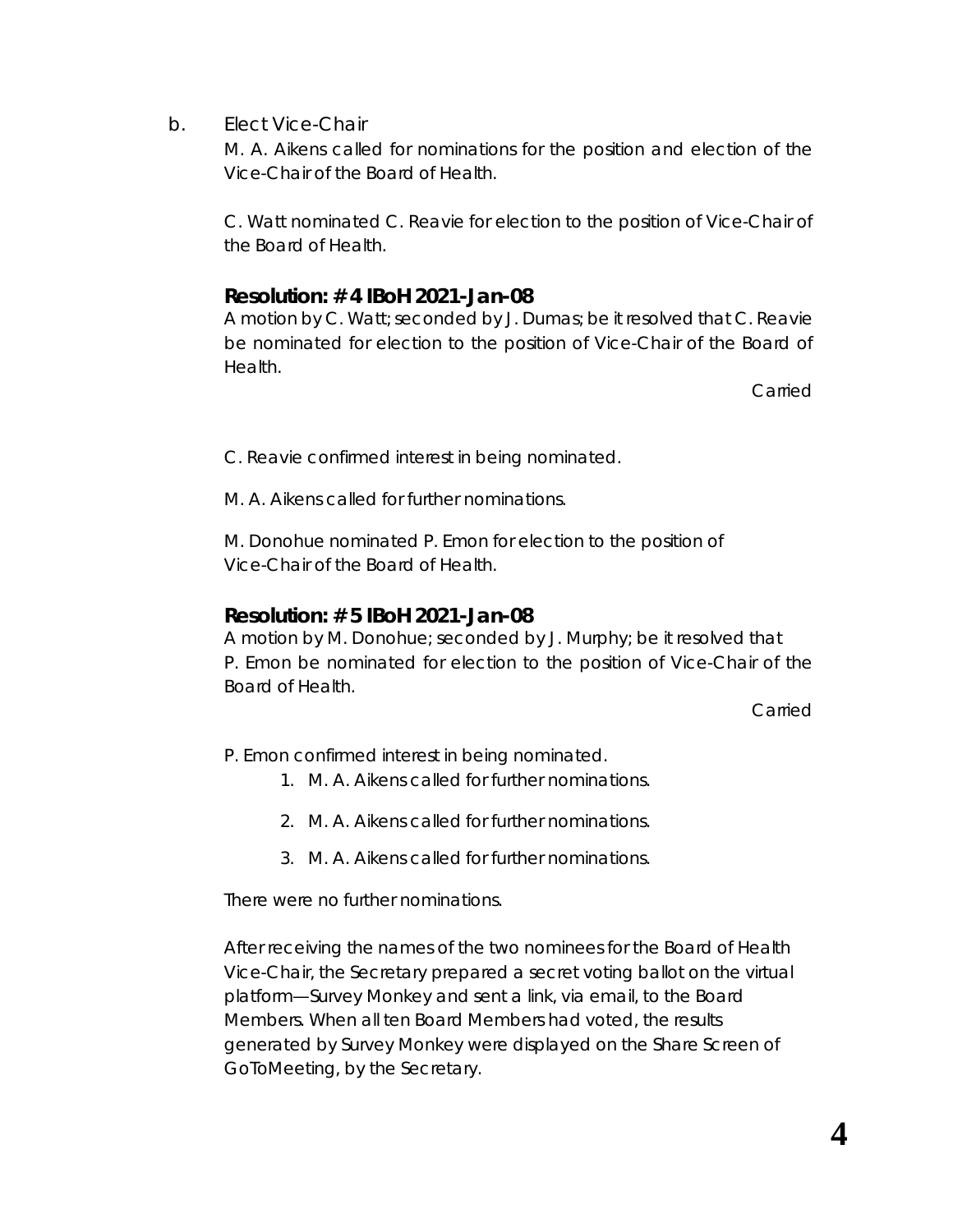b. Elect Vice-Chair

M. A. Aikens called for nominations for the position and election of the Vice-Chair of the Board of Health.

C. Watt nominated C. Reavie for election to the position of Vice-Chair of the Board of Health.

### **Resolution: # 4 IBoH 2021-Jan-08**

A motion by C. Watt; seconded by J. Dumas; be it resolved that C. Reavie be nominated for election to the position of Vice-Chair of the Board of Health.

Carried

C. Reavie confirmed interest in being nominated.

M. A. Aikens called for further nominations.

M. Donohue nominated P. Emon for election to the position of Vice-Chair of the Board of Health.

### **Resolution: # 5 IBoH 2021-Jan-08**

A motion by M. Donohue; seconded by J. Murphy; be it resolved that P. Emon be nominated for election to the position of Vice-Chair of the Board of Health.

Carried

P. Emon confirmed interest in being nominated.

- 1. M. A. Aikens called for further nominations.
- 2. M. A. Aikens called for further nominations.
- 3. M. A. Aikens called for further nominations.

There were no further nominations.

After receiving the names of the two nominees for the Board of Health Vice-Chair, the Secretary prepared a secret voting ballot on the virtual platform—*Survey Monkey* and sent a link, via email, to the Board Members. When all ten Board Members had voted, the results generated by Survey Monkey were displayed on the *Share Screen* of *GoToMeeting,* by the Secretary.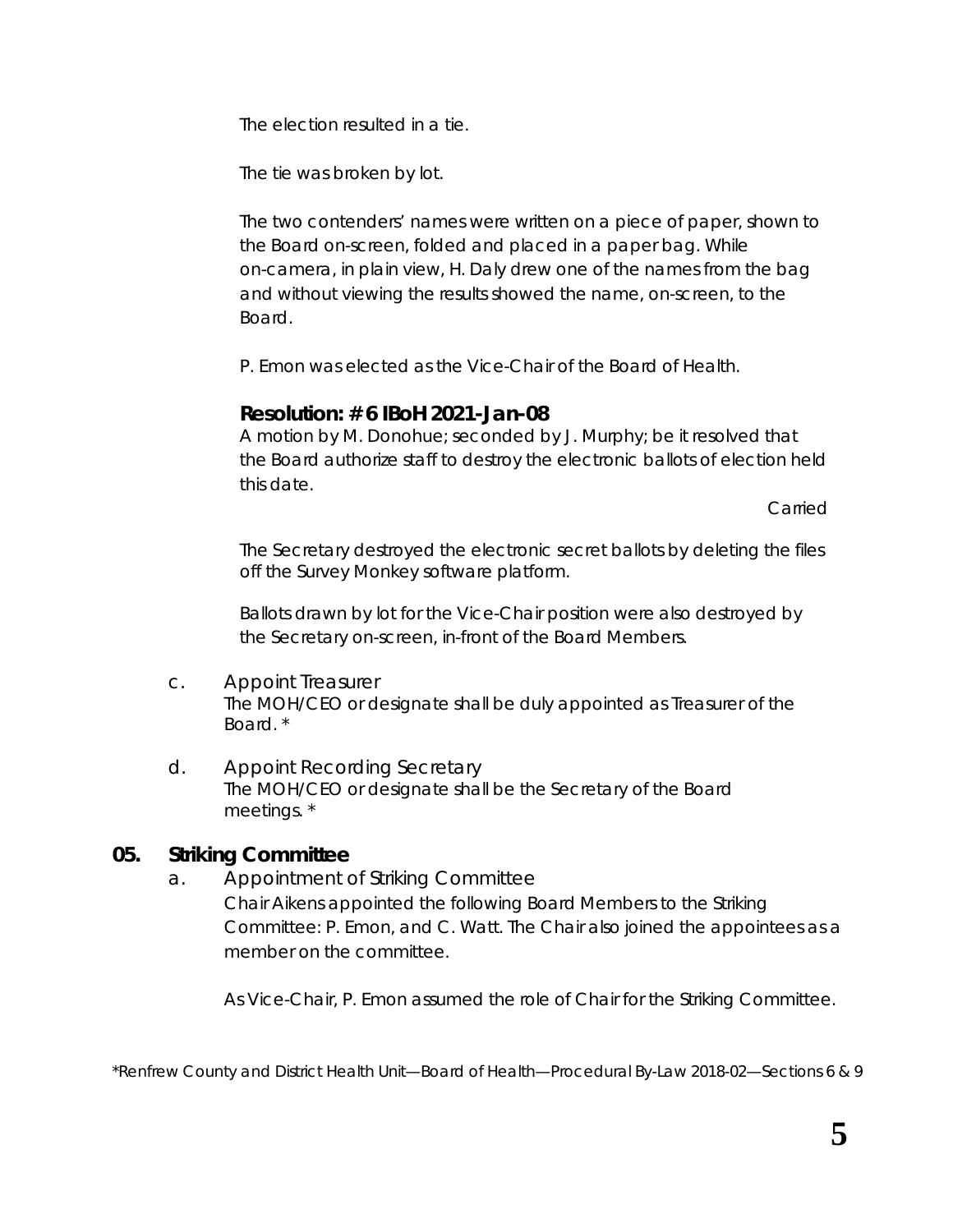The election resulted in a tie.

The tie was broken by lot.

The two contenders' names were written on a piece of paper, shown to the Board on-screen, folded and placed in a paper bag. While on-camera, in plain view, H. Daly drew one of the names from the bag and without viewing the results showed the name, on-screen, to the Board.

P. Emon was elected as the Vice-Chair of the Board of Health.

### **Resolution: # 6 IBoH 2021-Jan-08**

A motion by M. Donohue; seconded by J. Murphy; be it resolved that the Board authorize staff to destroy the electronic ballots of election held this date.

Carried

The Secretary destroyed the electronic secret ballots by deleting the files off the *Survey Monkey* software platform.

Ballots drawn by lot for the Vice-Chair position were also destroyed by the Secretary on-screen, in-front of the Board Members.

- c. Appoint Treasurer *The MOH/CEO or designate shall be duly appointed as Treasurer of the Board.* \*
- d. Appoint Recording Secretary *The MOH/CEO or designate shall be the Secretary of the Board meetings.* \*

## **05. Striking Committee**

a. Appointment of Striking Committee Chair Aikens appointed the following Board Members to the Striking Committee: P. Emon, and C. Watt. The Chair also joined the appointees as a member on the committee.

As Vice-Chair, P. Emon assumed the role of Chair for the Striking Committee.

\**Renfrew County and District Health Unit—Board of Health—Procedural By-Law 2018-02—Sections 6 & 9*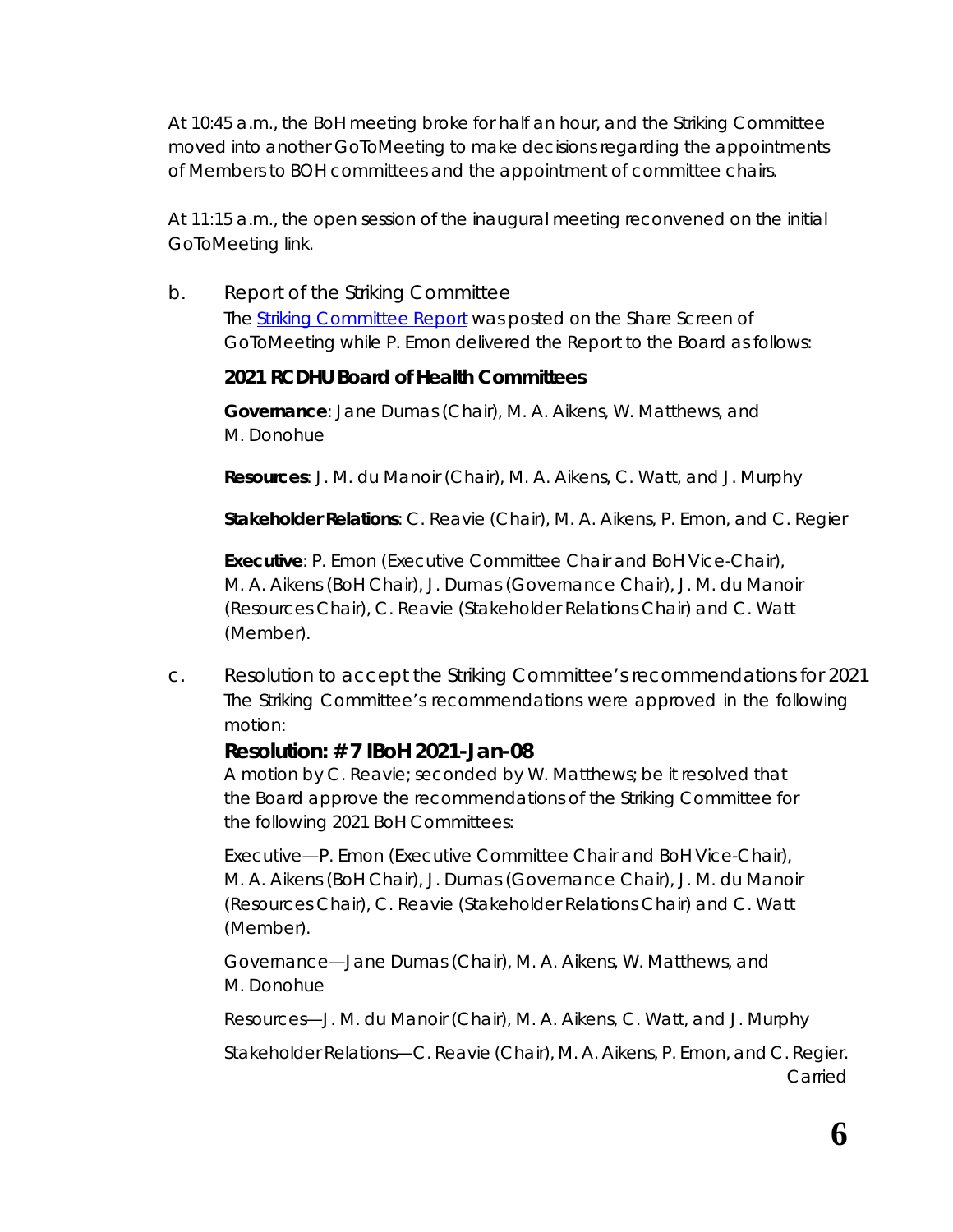At 10:45 a.m., the BoH meeting broke for half an hour, and the Striking Committee moved into another *GoToMeeting* to make decisions regarding the appointments of Members to BOH committees and the appointment of committee chairs.

At 11:15 a.m., the open session of the inaugural meeting reconvened on the initial *GoToMeeting* link.

b. Report of the Striking Committee The [Striking Committee Report](http://portal.rcdhu.com/board/wp-content/uploads/2021/01/Striking-Committee-Report-2021-Jan-08.pdf) was posted on the *Share Screen* of *GoToMeeting* while P. Emon delivered the Report to the Board as follows:

#### **2021 RCDHU Board of Health Committees**

**Governance**: Jane Dumas (Chair), M. A. Aikens, W. Matthews, and M. Donohue

**Resources**: J. M. du Manoir (Chair), M. A. Aikens, C. Watt, and J. Murphy

**Stakeholder Relations**: C. Reavie (Chair), M. A. Aikens, P. Emon, and C. Regier

**Executive**: P. Emon (Executive Committee Chair and BoH Vice-Chair), M. A. Aikens (BoH Chair), J. Dumas (Governance Chair), J. M. du Manoir (Resources Chair), C. Reavie (Stakeholder Relations Chair) and C. Watt (Member).

c. Resolution to accept the Striking Committee's recommendations for 2021 The Striking Committee's recommendations were approved in the following motion:

#### **Resolution: # 7 IBoH 2021-Jan-08**

A motion by C. Reavie; seconded by W. Matthews; be it resolved that the Board approve the recommendations of the Striking Committee for the following 2021 BoH Committees:

Executive—P. Emon (Executive Committee Chair and BoH Vice-Chair), M. A. Aikens (BoH Chair), J. Dumas (Governance Chair), J. M. du Manoir (Resources Chair), C. Reavie (Stakeholder Relations Chair) and C. Watt (Member).

Governance—Jane Dumas (Chair), M. A. Aikens, W. Matthews, and M. Donohue

Resources—J. M. du Manoir (Chair), M. A. Aikens, C. Watt, and J. Murphy

Stakeholder Relations—C. Reavie (Chair), M. A. Aikens, P. Emon, and C. Regier. Carried